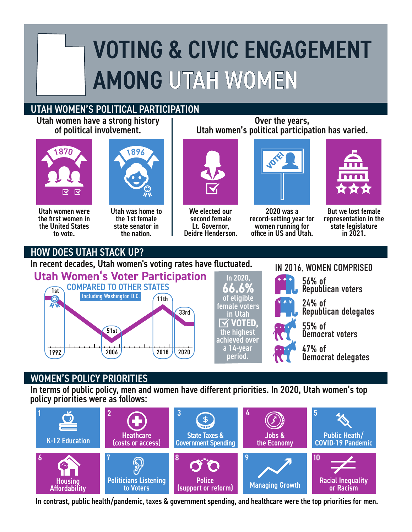## VOTING & CIVIC ENGAGEMENT AMONG UTAH WOMEN

## UTAH WOMEN'S POLITICAL PARTICIPATION

Utah women have a strong history of political involvement.





Utah women were the first women in the United States to vote.

Utah was home to the 1st female state senator in the nation.



We elected our second female Lt. Governor, Deidre Henderson.



Over the years, Utah women's political participation has varied.

2020 was a record-setting year for women running for office in US and Utah.

56% of

IN 2016, WOMEN COMPRISED

24% of

55% of

47% of

Republican voters

Democrat voters

Democrat delegates

Republican delegates



But we lost female representation in the state legislature in 2021.

## HOW DOES UTAH STACK UP?

In recent decades, Utah women's voting rates have fluctuated.



## WOMEN'S POLICY PRIORITIES

In terms of public policy, men and women have different priorities. In 2020, Utah women's top policy priorities were as follows:



In contrast, public health/pandemic, taxes & government spending, and healthcare were the top priorities for men.